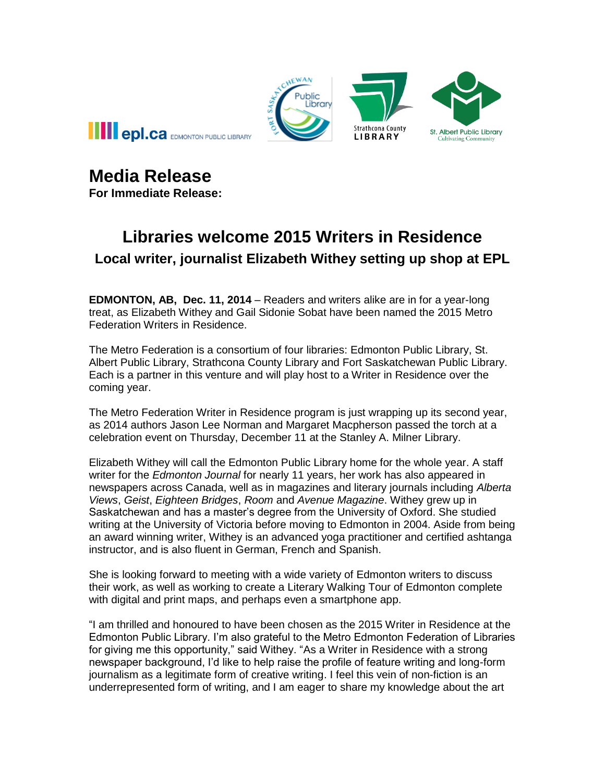

**Media Release**

**For Immediate Release:**

## **Libraries welcome 2015 Writers in Residence Local writer, journalist Elizabeth Withey setting up shop at EPL**

**EDMONTON, AB, Dec. 11, 2014** – Readers and writers alike are in for a year-long treat, as Elizabeth Withey and Gail Sidonie Sobat have been named the 2015 Metro Federation Writers in Residence.

The Metro Federation is a consortium of four libraries: Edmonton Public Library, St. Albert Public Library, Strathcona County Library and Fort Saskatchewan Public Library. Each is a partner in this venture and will play host to a Writer in Residence over the coming year.

The Metro Federation Writer in Residence program is just wrapping up its second year, as 2014 authors Jason Lee Norman and Margaret Macpherson passed the torch at a celebration event on Thursday, December 11 at the Stanley A. Milner Library.

Elizabeth Withey will call the Edmonton Public Library home for the whole year. A staff writer for the *Edmonton Journal* for nearly 11 years, her work has also appeared in newspapers across Canada, well as in magazines and literary journals including *Alberta Views*, *Geist*, *Eighteen Bridges*, *Room* and *Avenue Magazine*. Withey grew up in Saskatchewan and has a master's degree from the University of Oxford. She studied writing at the University of Victoria before moving to Edmonton in 2004. Aside from being an award winning writer, Withey is an advanced yoga practitioner and certified ashtanga instructor, and is also fluent in German, French and Spanish.

She is looking forward to meeting with a wide variety of Edmonton writers to discuss their work, as well as working to create a Literary Walking Tour of Edmonton complete with digital and print maps, and perhaps even a smartphone app.

"I am thrilled and honoured to have been chosen as the 2015 Writer in Residence at the Edmonton Public Library. I'm also grateful to the Metro Edmonton Federation of Libraries for giving me this opportunity," said Withey. "As a Writer in Residence with a strong newspaper background, I'd like to help raise the profile of feature writing and long-form journalism as a legitimate form of creative writing. I feel this vein of non-fiction is an underrepresented form of writing, and I am eager to share my knowledge about the art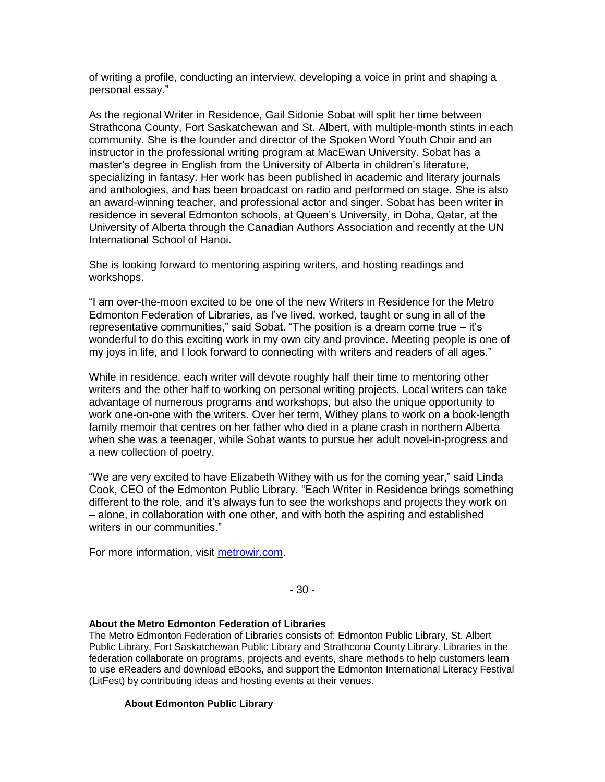of writing a profile, conducting an interview, developing a voice in print and shaping a personal essay."

As the regional Writer in Residence, Gail Sidonie Sobat will split her time between Strathcona County, Fort Saskatchewan and St. Albert, with multiple-month stints in each community. She is the founder and director of the Spoken Word Youth Choir and an instructor in the professional writing program at MacEwan University. Sobat has a master's degree in English from the University of Alberta in children's literature, specializing in fantasy. Her work has been published in academic and literary journals and anthologies, and has been broadcast on radio and performed on stage. She is also an award-winning teacher, and professional actor and singer. Sobat has been writer in residence in several Edmonton schools, at Queen's University, in Doha, Qatar, at the University of Alberta through the Canadian Authors Association and recently at the UN International School of Hanoi.

She is looking forward to mentoring aspiring writers, and hosting readings and workshops.

"I am over-the-moon excited to be one of the new Writers in Residence for the Metro Edmonton Federation of Libraries, as I've lived, worked, taught or sung in all of the representative communities," said Sobat. "The position is a dream come true – it's wonderful to do this exciting work in my own city and province. Meeting people is one of my joys in life, and I look forward to connecting with writers and readers of all ages."

While in residence, each writer will devote roughly half their time to mentoring other writers and the other half to working on personal writing projects. Local writers can take advantage of numerous programs and workshops, but also the unique opportunity to work one-on-one with the writers. Over her term, Withey plans to work on a book-length family memoir that centres on her father who died in a plane crash in northern Alberta when she was a teenager, while Sobat wants to pursue her adult novel-in-progress and a new collection of poetry.

"We are very excited to have Elizabeth Withey with us for the coming year," said Linda Cook, CEO of the Edmonton Public Library. "Each Writer in Residence brings something different to the role, and it's always fun to see the workshops and projects they work on – alone, in collaboration with one other, and with both the aspiring and established writers in our communities."

For more information, visit [metrowir.com.](http://www.metrowir.com/)

- 30 -

## **About the Metro Edmonton Federation of Libraries**

The Metro Edmonton Federation of Libraries consists of: Edmonton Public Library, St. Albert Public Library, Fort Saskatchewan Public Library and Strathcona County Library. Libraries in the federation collaborate on programs, projects and events, share methods to help customers learn to use eReaders and download eBooks, and support the Edmonton International Literacy Festival (LitFest) by contributing ideas and hosting events at their venues.

## **About Edmonton Public Library**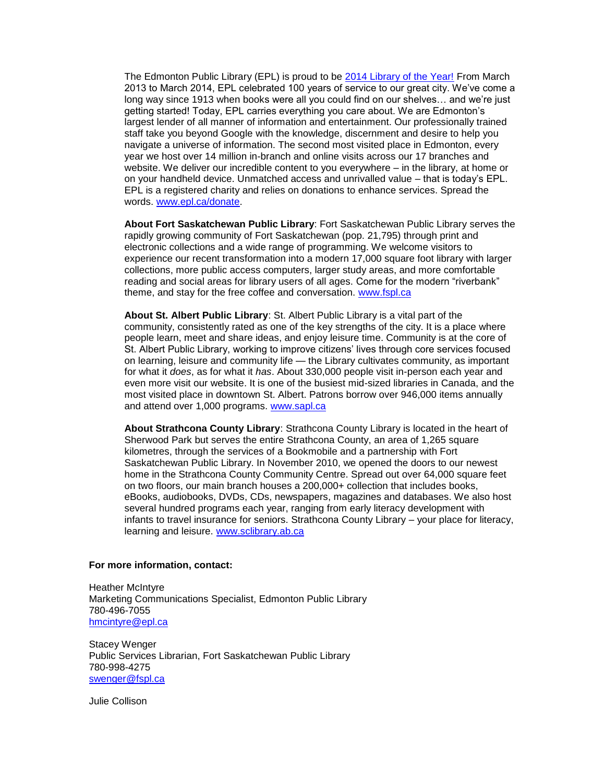The Edmonton Public Library (EPL) is proud to be [2014 Library of the Year!](http://www.epl.ca/libraryoftheyear) From March 2013 to March 2014, EPL celebrated 100 years of service to our great city. We've come a long way since 1913 when books were all you could find on our shelves… and we're just getting started! Today, EPL carries everything you care about. We are Edmonton's largest lender of all manner of information and entertainment. Our professionally trained staff take you beyond Google with the knowledge, discernment and desire to help you navigate a universe of information. The second most visited place in Edmonton, every year we host over 14 million in-branch and online visits across our 17 branches and website. We deliver our incredible content to you everywhere – in the library, at home or on your handheld device. Unmatched access and unrivalled value – that is today's EPL. EPL is a registered charity and relies on donations to enhance services. Spread the words. [www.epl.ca/donate.](http://www.epl.ca/donate)

**About Fort Saskatchewan Public Library**: Fort Saskatchewan Public Library serves the rapidly growing community of Fort Saskatchewan (pop. 21,795) through print and electronic collections and a wide range of programming. We welcome visitors to experience our recent transformation into a modern 17,000 square foot library with larger collections, more public access computers, larger study areas, and more comfortable reading and social areas for library users of all ages. Come for the modern "riverbank" theme, and stay for the free coffee and conversation. [www.fspl.ca](http://www.fspl.ca/)

**About St. Albert Public Library**: St. Albert Public Library is a vital part of the community, consistently rated as one of the key strengths of the city. It is a place where people learn, meet and share ideas, and enjoy leisure time. Community is at the core of St. Albert Public Library, working to improve citizens' lives through core services focused on learning, leisure and community life — the Library cultivates community, as important for what it *does*, as for what it *has*. About 330,000 people visit in-person each year and even more visit our website. It is one of the busiest mid-sized libraries in Canada, and the most visited place in downtown St. Albert. Patrons borrow over 946,000 items annually and attend over 1,000 programs. [www.sapl.ca](http://www.sapl.ca/)

**About Strathcona County Library**: Strathcona County Library is located in the heart of Sherwood Park but serves the entire Strathcona County, an area of 1,265 square kilometres, through the services of a Bookmobile and a partnership with Fort Saskatchewan Public Library. In November 2010, we opened the doors to our newest home in the Strathcona County Community Centre. Spread out over 64,000 square feet on two floors, our main branch houses a 200,000+ collection that includes books, eBooks, audiobooks, DVDs, CDs, newspapers, magazines and databases. We also host several hundred programs each year, ranging from early literacy development with infants to travel insurance for seniors. Strathcona County Library – your place for literacy, learning and leisure. [www.sclibrary.ab.ca](http://www.sclibrary.ab.ca/)

## **For more information, contact:**

Heather McIntyre Marketing Communications Specialist, Edmonton Public Library 780-496-7055 [hmcintyre@epl.ca](mailto:hmcintyre@epl.ca)

Stacey Wenger Public Services Librarian, Fort Saskatchewan Public Library 780-998-4275 [swenger@fspl.ca](mailto:swenger@fspl.ca)

Julie Collison